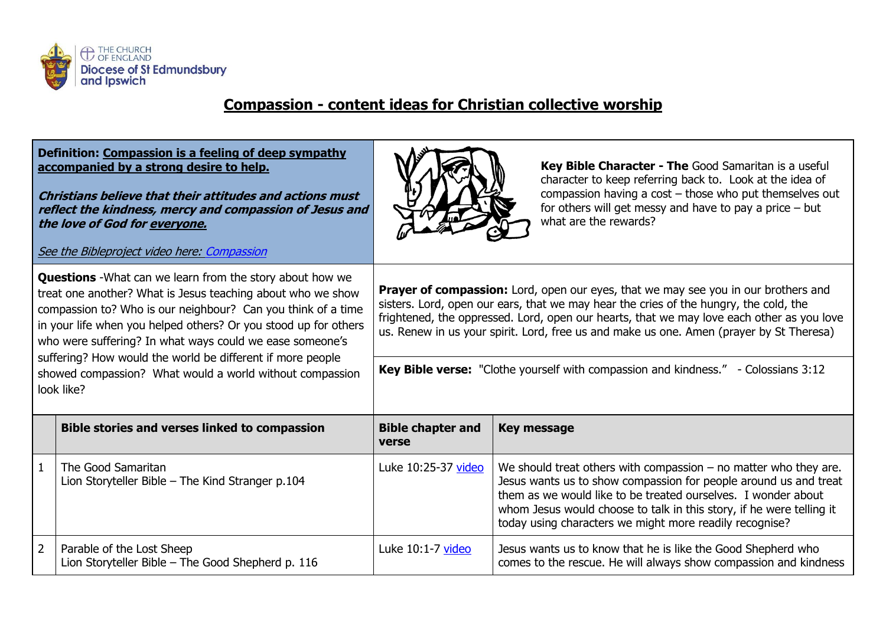

## **Compassion - content ideas for Christian collective worship**

|                                                                                                                                                                                                                                                                                                                                                                                                                                                                        | Definition: Compassion is a feeling of deep sympathy<br>accompanied by a strong desire to help.<br>Christians believe that their attitudes and actions must<br>reflect the kindness, mercy and compassion of Jesus and<br>the love of God for everyone.<br>See the Bibleproject video here: Compassion |                                                                                                                                                                                                                                                                                                                                                                                                                                                           | Key Bible Character - The Good Samaritan is a useful<br>character to keep referring back to. Look at the idea of<br>compassion having a $cost$ – those who put themselves out<br>for others will get messy and have to pay a price $-$ but<br>what are the rewards?                                                                        |
|------------------------------------------------------------------------------------------------------------------------------------------------------------------------------------------------------------------------------------------------------------------------------------------------------------------------------------------------------------------------------------------------------------------------------------------------------------------------|--------------------------------------------------------------------------------------------------------------------------------------------------------------------------------------------------------------------------------------------------------------------------------------------------------|-----------------------------------------------------------------------------------------------------------------------------------------------------------------------------------------------------------------------------------------------------------------------------------------------------------------------------------------------------------------------------------------------------------------------------------------------------------|--------------------------------------------------------------------------------------------------------------------------------------------------------------------------------------------------------------------------------------------------------------------------------------------------------------------------------------------|
| <b>Questions</b> - What can we learn from the story about how we<br>treat one another? What is Jesus teaching about who we show<br>compassion to? Who is our neighbour? Can you think of a time<br>in your life when you helped others? Or you stood up for others<br>who were suffering? In what ways could we ease someone's<br>suffering? How would the world be different if more people<br>showed compassion? What would a world without compassion<br>look like? |                                                                                                                                                                                                                                                                                                        | Prayer of compassion: Lord, open our eyes, that we may see you in our brothers and<br>sisters. Lord, open our ears, that we may hear the cries of the hungry, the cold, the<br>frightened, the oppressed. Lord, open our hearts, that we may love each other as you love<br>us. Renew in us your spirit. Lord, free us and make us one. Amen (prayer by St Theresa)<br>Key Bible verse: "Clothe yourself with compassion and kindness." - Colossians 3:12 |                                                                                                                                                                                                                                                                                                                                            |
|                                                                                                                                                                                                                                                                                                                                                                                                                                                                        | <b>Bible stories and verses linked to compassion</b>                                                                                                                                                                                                                                                   | <b>Bible chapter and</b><br>verse                                                                                                                                                                                                                                                                                                                                                                                                                         | <b>Key message</b>                                                                                                                                                                                                                                                                                                                         |
| $\mathbf{1}$                                                                                                                                                                                                                                                                                                                                                                                                                                                           | The Good Samaritan<br>Lion Storyteller Bible - The Kind Stranger p.104                                                                                                                                                                                                                                 | Luke 10:25-37 video                                                                                                                                                                                                                                                                                                                                                                                                                                       | We should treat others with compassion $-$ no matter who they are.<br>Jesus wants us to show compassion for people around us and treat<br>them as we would like to be treated ourselves. I wonder about<br>whom Jesus would choose to talk in this story, if he were telling it<br>today using characters we might more readily recognise? |
| $\overline{2}$                                                                                                                                                                                                                                                                                                                                                                                                                                                         | Parable of the Lost Sheep<br>Lion Storyteller Bible - The Good Shepherd p. 116                                                                                                                                                                                                                         | Luke 10:1-7 video                                                                                                                                                                                                                                                                                                                                                                                                                                         | Jesus wants us to know that he is like the Good Shepherd who<br>comes to the rescue. He will always show compassion and kindness                                                                                                                                                                                                           |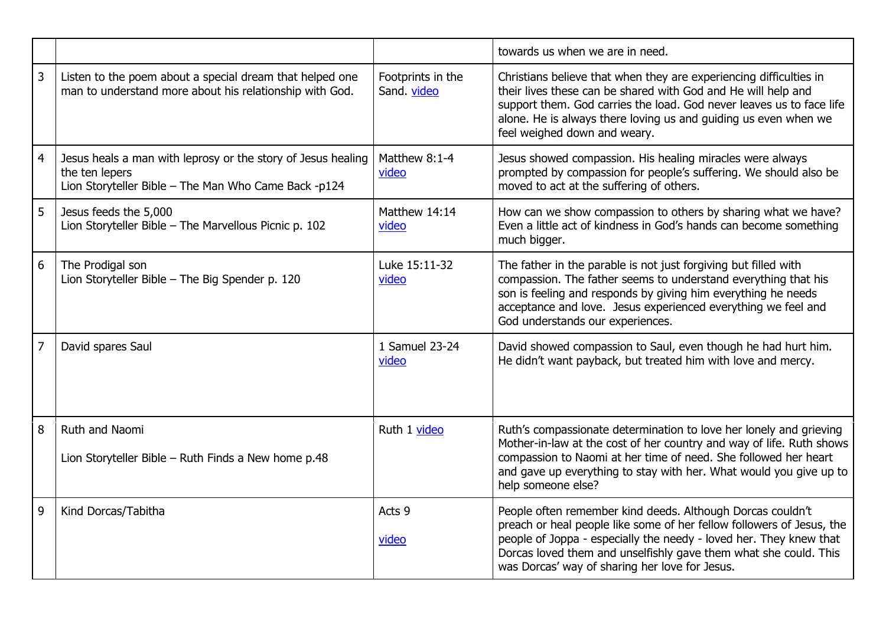|                |                                                                                                                                        |                                  | towards us when we are in need.                                                                                                                                                                                                                                                                                                 |
|----------------|----------------------------------------------------------------------------------------------------------------------------------------|----------------------------------|---------------------------------------------------------------------------------------------------------------------------------------------------------------------------------------------------------------------------------------------------------------------------------------------------------------------------------|
| 3              | Listen to the poem about a special dream that helped one<br>man to understand more about his relationship with God.                    | Footprints in the<br>Sand. video | Christians believe that when they are experiencing difficulties in<br>their lives these can be shared with God and He will help and<br>support them. God carries the load. God never leaves us to face life<br>alone. He is always there loving us and guiding us even when we<br>feel weighed down and weary.                  |
| 4              | Jesus heals a man with leprosy or the story of Jesus healing<br>the ten lepers<br>Lion Storyteller Bible - The Man Who Came Back -p124 | Matthew 8:1-4<br>video           | Jesus showed compassion. His healing miracles were always<br>prompted by compassion for people's suffering. We should also be<br>moved to act at the suffering of others.                                                                                                                                                       |
| 5              | Jesus feeds the 5,000<br>Lion Storyteller Bible - The Marvellous Picnic p. 102                                                         | Matthew 14:14<br>video           | How can we show compassion to others by sharing what we have?<br>Even a little act of kindness in God's hands can become something<br>much bigger.                                                                                                                                                                              |
| 6              | The Prodigal son<br>Lion Storyteller Bible - The Big Spender p. 120                                                                    | Luke 15:11-32<br>video           | The father in the parable is not just forgiving but filled with<br>compassion. The father seems to understand everything that his<br>son is feeling and responds by giving him everything he needs<br>acceptance and love. Jesus experienced everything we feel and<br>God understands our experiences.                         |
| $\overline{7}$ | David spares Saul                                                                                                                      | 1 Samuel 23-24<br>video          | David showed compassion to Saul, even though he had hurt him.<br>He didn't want payback, but treated him with love and mercy.                                                                                                                                                                                                   |
| 8              | Ruth and Naomi<br>Lion Storyteller Bible - Ruth Finds a New home p.48                                                                  | Ruth 1 video                     | Ruth's compassionate determination to love her lonely and grieving<br>Mother-in-law at the cost of her country and way of life. Ruth shows<br>compassion to Naomi at her time of need. She followed her heart<br>and gave up everything to stay with her. What would you give up to<br>help someone else?                       |
| 9              | Kind Dorcas/Tabitha                                                                                                                    | Acts 9<br>video                  | People often remember kind deeds. Although Dorcas couldn't<br>preach or heal people like some of her fellow followers of Jesus, the<br>people of Joppa - especially the needy - loved her. They knew that<br>Dorcas loved them and unselfishly gave them what she could. This<br>was Dorcas' way of sharing her love for Jesus. |